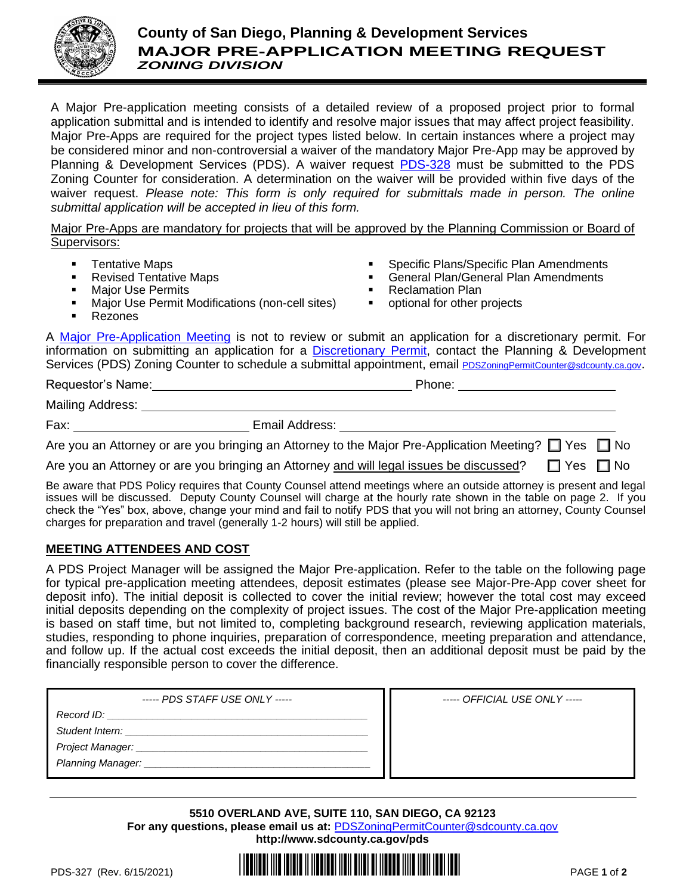

## **County of San Diego, Planning & Development Services MAJOR PRE-APPLICATION MEETING REQUEST** *ZONING DIVISION*

A Major Pre-application meeting consists of a detailed review of a proposed project prior to formal application submittal and is intended to identify and resolve major issues that may affect project feasibility. Major Pre-Apps are required for the project types listed below. In certain instances where a project may be considered minor and non-controversial a waiver of the mandatory Major Pre-App may be approved by Planning & Development Services (PDS). A waiver request [PDS-328](http://www.sdcounty.ca.gov/pds/zoning/formfields/PDS-PLN-328.pdf) must be submitted to the PDS Zoning Counter for consideration. A determination on the waiver will be provided within five days of the waiver request. *Please note: This form is only required for submittals made in person. The online submittal application will be accepted in lieu of this form.*

Major Pre-Apps are mandatory for projects that will be approved by the Planning Commission or Board of Supervisors:

- Tentative Maps
- **Revised Tentative Maps Major Use Permits**
- Specific Plans/Specific Plan Amendments
- General Plan/General Plan Amendments
- **Reclamation Plan**
- Major Use Permit Modifications (non-cell sites) ■ optional for other projects

Representation of the Phone: Phone: Phone: Phone: 2014

**Rezones** 

A [Major Pre-Application Meeting](http://www.sdcounty.ca.gov/pds/zoning/formfields/PDS-PLN-ESUB_Major_Project_Pre_App.pdf) is not to review or submit an application for a discretionary permit. For information on submitting an application for a [Discretionary Permit,](http://www.sdcounty.ca.gov/pds/zoning/ZoningPermits.html) contact the Planning & Development Services (PDS) Zoning Counter to schedule a submittal appointment, email [PDSZoningPermitCounter@sdcounty.ca.gov](mailto:PDSZoningPermitCounter@sdcounty.ca.gov).

| Requestor's Name: |  |
|-------------------|--|
|-------------------|--|

Mailing Address:

Fax: Email Address: Contract Email Address:

Are you an Attorney or are you bringing an Attorney to the Major Pre-Application Meeting?  $\Box$  Yes  $\Box$  No

Are you an Attorney or are you bringing an Attorney and will legal issues be discussed?  $\Box$  Yes  $\Box$  No

Be aware that PDS Policy requires that County Counsel attend meetings where an outside attorney is present and legal issues will be discussed. Deputy County Counsel will charge at the hourly rate shown in the table on page 2. If you check the "Yes" box, above, change your mind and fail to notify PDS that you will not bring an attorney, County Counsel charges for preparation and travel (generally 1-2 hours) will still be applied.

## **MEETING ATTENDEES AND COST**

A PDS Project Manager will be assigned the Major Pre-application. Refer to the table on the following page for typical pre-application meeting attendees, deposit estimates (please see Major-Pre-App cover sheet for deposit info). The initial deposit is collected to cover the initial review; however the total cost may exceed initial deposits depending on the complexity of project issues. The cost of the Major Pre-application meeting is based on staff time, but not limited to, completing background research, reviewing application materials, studies, responding to phone inquiries, preparation of correspondence, meeting preparation and attendance, and follow up. If the actual cost exceeds the initial deposit, then an additional deposit must be paid by the financially responsible person to cover the difference.

| ----- PDS STAFF USE ONLY ----- | ----- OFFICIAL USE ONLY ----- |
|--------------------------------|-------------------------------|
| Record ID:                     |                               |
| Student Intern:                |                               |
|                                |                               |
|                                |                               |
|                                |                               |